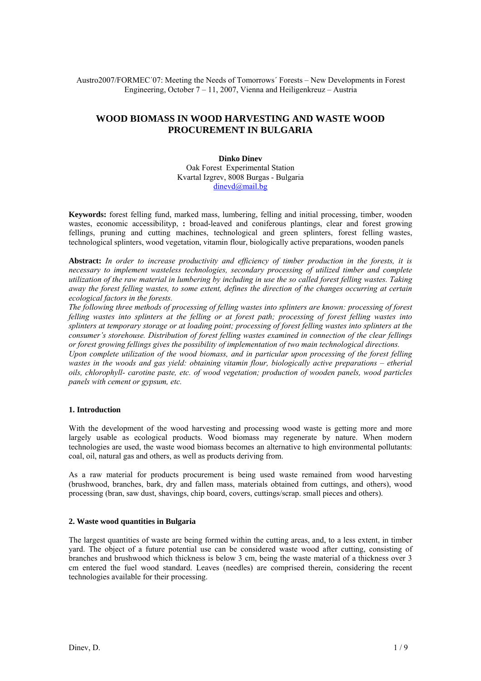Austro2007/FORMEC´07: Meeting the Needs of Tomorrows´ Forests – New Developments in Forest Engineering, October 7 – 11, 2007, Vienna and Heiligenkreuz – Austria

# **WOOD BIOMASS IN WOOD HARVESTING AND WASTE WOOD PROCUREMENT IN BULGARIA**

### **Dinko Dinev**  Oak Forest Experimental Station Kvartal Izgrev, 8008 Burgas - Bulgaria dinevd@mail.bg

**Keywords:** forest felling fund, marked mass, lumbering, felling and initial processing, timber, wooden wastes, economic accessibilityp, : broad-leaved and coniferous plantings, clear and forest growing fellings, pruning and cutting machines, technological and green splinters, forest felling wastes, technological splinters, wood vegetation, vitamin flour, biologically active preparations, wooden panels

**Abstract:** *In order to increase productivity and efficiency of timber production in the forests, it is necessary to implement wasteless technologies, secondary processing of utilized timber and complete utilization of the raw material in lumbering by including in use the so called forest felling wastes. Taking away the forest felling wastes, to some extent, defines the direction of the changes occurring at certain ecological factors in the forests.* 

*The following three methods of processing of felling wastes into splinters are known: processing of forest felling wastes into splinters at the felling or at forest path; processing of forest felling wastes into splinters at temporary storage or at loading point; processing of forest felling wastes into splinters at the consumer's storehouse. Distribution of forest felling wastes examined in connection of the clear fellings or forest growing fellings gives the possibility of implementation of two main technological directions.* 

*Upon complete utilization of the wood biomass, and in particular upon processing of the forest felling wastes in the woods and gas yield: obtaining vitamin flour, biologically active preparations – etherial oils, chlorophyll- carotine paste, etc. of wood vegetation; production of wooden panels, wood particles panels with cement or gypsum, etc.* 

### **1. Introduction**

With the development of the wood harvesting and processing wood waste is getting more and more largely usable as ecological products. Wood biomass may regenerate by nature. When modern technologies are used, the waste wood biomass becomes an alternative to high environmental pollutants: coal, oil, natural gas and others, as well as products deriving from.

As a raw material for products procurement is being used waste remained from wood harvesting (brushwood, branches, bark, dry and fallen mass, materials obtained from cuttings, and others), wood processing (bran, saw dust, shavings, chip board, covers, cuttings/scrap. small pieces and others).

### **2. Waste wood quantities in Bulgaria**

The largest quantities of waste are being formed within the cutting areas, and, to a less extent, in timber yard. The object of a future potential use can be considered waste wood after cutting, consisting of branches and brushwood which thickness is below 3 cm, being the waste material of a thickness over 3 cm entered the fuel wood standard. Leaves (needles) are comprised therein, considering the recent technologies available for their processing.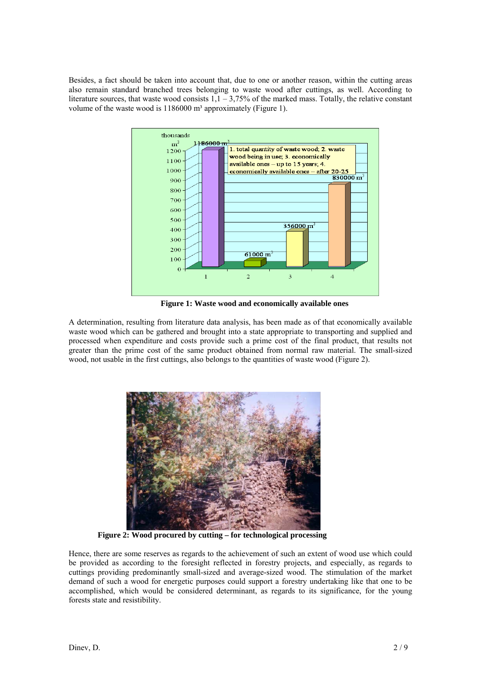Besides, a fact should be taken into account that, due to one or another reason, within the cutting areas also remain standard branched trees belonging to waste wood after cuttings, as well. According to literature sources, that waste wood consists  $1,1 - 3,75\%$  of the marked mass. Totally, the relative constant volume of the waste wood is 1186000 m<sup>3</sup> approximately (Figure 1).



**Figure 1: Waste wood and economically available ones** 

A determination, resulting from literature data analysis, has been made as of that economically available waste wood which can be gathered and brought into a state appropriate to transporting and supplied and processed when expenditure and costs provide such a prime cost of the final product, that results not greater than the prime cost of the same product obtained from normal raw material. The small-sized wood, not usable in the first cuttings, also belongs to the quantities of waste wood (Figure 2).



**Figure 2: Wood procured by cutting – for technological processing** 

Hence, there are some reserves as regards to the achievement of such an extent of wood use which could be provided as according to the foresight reflected in forestry projects, and especially, as regards to cuttings providing predominantly small-sized and average-sized wood. The stimulation of the market demand of such a wood for energetic purposes could support a forestry undertaking like that one to be accomplished, which would be considered determinant, as regards to its significance, for the young forests state and resistibility.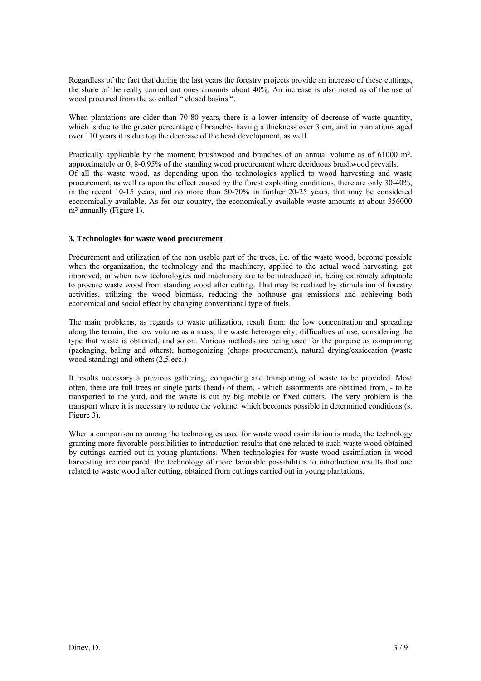Regardless of the fact that during the last years the forestry projects provide an increase of these cuttings, the share of the really carried out ones amounts about 40%. An increase is also noted as of the use of wood procured from the so called " closed basins ".

When plantations are older than 70-80 years, there is a lower intensity of decrease of waste quantity, which is due to the greater percentage of branches having a thickness over 3 cm, and in plantations aged over 110 years it is due top the decrease of the head development, as well.

Practically applicable by the moment: brushwood and branches of an annual volume as of 61000 m<sup>3</sup>, approximately or 0, 8-0,95% of the standing wood procurement where deciduous brushwood prevails. Of all the waste wood, as depending upon the technologies applied to wood harvesting and waste procurement, as well as upon the effect caused by the forest exploiting conditions, there are only 30-40%, in the recent 10-15 years, and no more than 50-70% in further 20-25 years, that may be considered economically available. As for our country, the economically available waste amounts at about 356000  $m<sup>3</sup>$  annually (Figure 1).

### **3. Technologies for waste wood procurement**

Procurement and utilization of the non usable part of the trees, i.e. of the waste wood, become possible when the organization, the technology and the machinery, applied to the actual wood harvesting, get improved, or when new technologies and machinery are to be introduced in, being extremely adaptable to procure waste wood from standing wood after cutting. That may be realized by stimulation of forestry activities, utilizing the wood biomass, reducing the hothouse gas emissions and achieving both economical and social effect by changing conventional type of fuels.

The main problems, as regards to waste utilization, result from: the low concentration and spreading along the terrain; the low volume as a mass; the waste heterogeneity; difficulties of use, considering the type that waste is obtained, and so on. Various methods are being used for the purpose as compriming (packaging, baling and others), homogenizing (chops procurement), natural drying/exsiccation (waste wood standing) and others (2,5 ecc.)

It results necessary a previous gathering, compacting and transporting of waste to be provided. Most often, there are full trees or single parts (head) of them, - which assortments are obtained from, - to be transported to the yard, and the waste is cut by big mobile or fixed cutters. The very problem is the transport where it is necessary to reduce the volume, which becomes possible in determined conditions (s. Figure 3).

When a comparison as among the technologies used for waste wood assimilation is made, the technology granting more favorable possibilities to introduction results that one related to such waste wood obtained by cuttings carried out in young plantations. When technologies for waste wood assimilation in wood harvesting are compared, the technology of more favorable possibilities to introduction results that one related to waste wood after cutting, obtained from cuttings carried out in young plantations.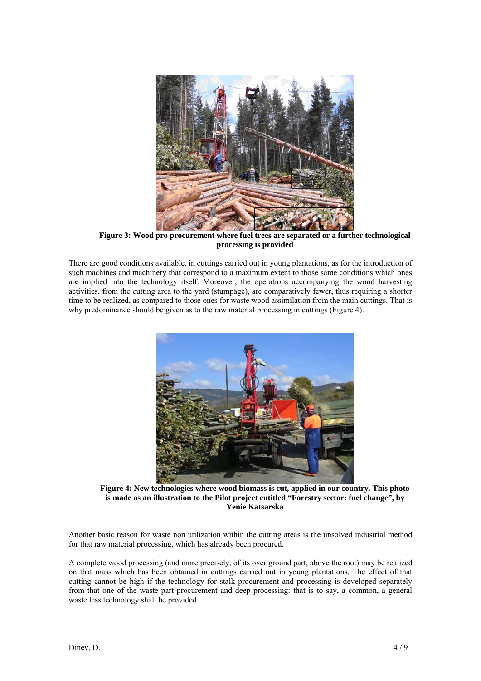

**Figure 3: Wood pro procurement where fuel trees are separated or a further technological processing is provided** 

There are good conditions available, in cuttings carried out in young plantations, as for the introduction of such machines and machinery that correspond to a maximum extent to those same conditions which ones are implied into the technology itself. Moreover, the operations accompanying the wood harvesting activities, from the cutting area to the yard (stumpage), are comparatively fewer, thus requiring a shorter time to be realized, as compared to those ones for waste wood assimilation from the main cuttings. That is why predominance should be given as to the raw material processing in cuttings (Figure 4).



**Figure 4: New technologies where wood biomass is cut, applied in our country. This photo is made as an illustration to the Pilot project entitled "Forestry sector: fuel change", by Yenie Katsarska** 

Another basic reason for waste non utilization within the cutting areas is the unsolved industrial method for that raw material processing, which has already been procured.

A complete wood processing (and more precisely, of its over ground part, above the root) may be realized on that mass which has been obtained in cuttings carried out in young plantations. The effect of that cutting cannot be high if the technology for stalk procurement and processing is developed separately from that one of the waste part procurement and deep processing: that is to say, a common, a general waste less technology shall be provided.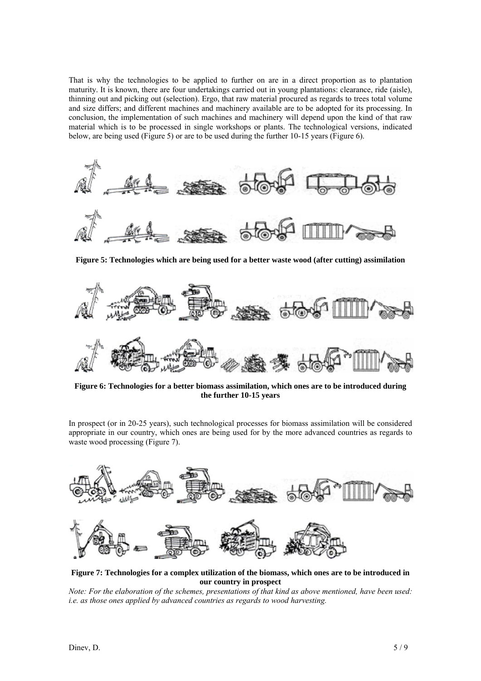That is why the technologies to be applied to further on are in a direct proportion as to plantation maturity. It is known, there are four undertakings carried out in young plantations: clearance, ride (aisle), thinning out and picking out (selection). Ergo, that raw material procured as regards to trees total volume and size differs; and different machines and machinery available are to be adopted for its processing. In conclusion, the implementation of such machines and machinery will depend upon the kind of that raw material which is to be processed in single workshops or plants. The technological versions, indicated below, are being used (Figure 5) or are to be used during the further 10-15 years (Figure 6).



**Figure 5: Technologies which are being used for a better waste wood (after cutting) assimilation** 



**Figure 6: Technologies for a better biomass assimilation, which ones are to be introduced during the further 10-15 years**

In prospect (or in 20-25 years), such technological processes for biomass assimilation will be considered appropriate in our country, which ones are being used for by the more advanced countries as regards to waste wood processing (Figure 7).



**Figure 7: Technologies for a complex utilization of the biomass, which ones are to be introduced in our country in prospect** 

*Note: For the elaboration of the schemes, presentations of that kind as above mentioned, have been used: i.e. as those ones applied by advanced countries as regards to wood harvesting.*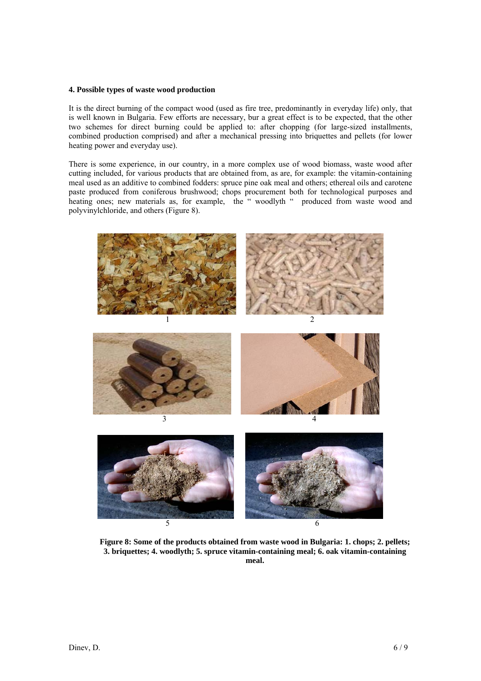#### **4. Possible types of waste wood production**

It is the direct burning of the compact wood (used as fire tree, predominantly in everyday life) only, that is well known in Bulgaria. Few efforts are necessary, bur a great effect is to be expected, that the other two schemes for direct burning could be applied to: after chopping (for large-sized installments, combined production comprised) and after a mechanical pressing into briquettes and pellets (for lower heating power and everyday use).

There is some experience, in our country, in a more complex use of wood biomass, waste wood after cutting included, for various products that are obtained from, as are, for example: the vitamin-containing meal used as an additive to combined fodders: spruce pine oak meal and others; ethereal oils and carotene paste produced from coniferous brushwood; chops procurement both for technological purposes and heating ones; new materials as, for example, the "woodlyth " produced from waste wood and polyvinylchloride, and others (Figure 8).



**Figure 8: Some of the products obtained from waste wood in Bulgaria: 1. chops; 2. pellets; 3. briquettes; 4. woodlyth; 5. spruce vitamin-containing meal; 6. oak vitamin-containing meal.**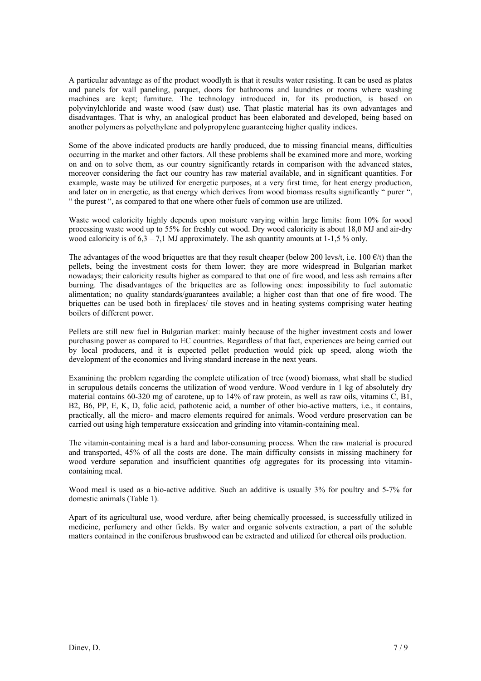A particular advantage as of the product woodlyth is that it results water resisting. It can be used as plates and panels for wall paneling, parquet, doors for bathrooms and laundries or rooms where washing machines are kept; furniture. The technology introduced in, for its production, is based on polyvinylchloride and waste wood (saw dust) use. That plastic material has its own advantages and disadvantages. That is why, an analogical product has been elaborated and developed, being based on another polymers as polyethylene and polypropylene guaranteeing higher quality indices.

Some of the above indicated products are hardly produced, due to missing financial means, difficulties occurring in the market and other factors. All these problems shall be examined more and more, working on and on to solve them, as our country significantly retards in comparison with the advanced states, moreover considering the fact our country has raw material available, and in significant quantities. For example, waste may be utilized for energetic purposes, at a very first time, for heat energy production, and later on in energetic, as that energy which derives from wood biomass results significantly " purer ", " the purest ", as compared to that one where other fuels of common use are utilized.

Waste wood caloricity highly depends upon moisture varying within large limits: from 10% for wood processing waste wood up to 55% for freshly cut wood. Dry wood caloricity is about 18,0 MJ and air-dry wood caloricity is of  $6.3 - 7.1$  MJ approximately. The ash quantity amounts at 1-1,5 % only.

The advantages of the wood briquettes are that they result cheaper (below 200 levs/t, i.e. 100  $\epsilon$ /t) than the pellets, being the investment costs for them lower; they are more widespread in Bulgarian market nowadays; their caloricity results higher as compared to that one of fire wood, and less ash remains after burning. The disadvantages of the briquettes are as following ones: impossibility to fuel automatic alimentation; no quality standards/guarantees available; a higher cost than that one of fire wood. The briquettes can be used both in fireplaces/ tile stoves and in heating systems comprising water heating boilers of different power.

Pellets are still new fuel in Bulgarian market: mainly because of the higher investment costs and lower purchasing power as compared to EC countries. Regardless of that fact, experiences are being carried out by local producers, and it is expected pellet production would pick up speed, along wioth the development of the economics and living standard increase in the next years.

Examining the problem regarding the complete utilization of tree (wood) biomass, what shall be studied in scrupulous details concerns the utilization of wood verdure. Wood verdure in 1 kg of absolutely dry material contains 60-320 mg of carotene, up to 14% of raw protein, as well as raw oils, vitamins C, B1, B2, B6, PP, E, K, D, folic acid, pathotenic acid, a number of other bio-active matters, i.e., it contains, practically, all the micro- and macro elements required for animals. Wood verdure preservation can be carried out using high temperature exsiccation and grinding into vitamin-containing meal.

The vitamin-containing meal is a hard and labor-consuming process. When the raw material is procured and transported, 45% of all the costs are done. The main difficulty consists in missing machinery for wood verdure separation and insufficient quantities ofg aggregates for its processing into vitamincontaining meal.

Wood meal is used as a bio-active additive. Such an additive is usually 3% for poultry and 5-7% for domestic animals (Table 1).

Apart of its agricultural use, wood verdure, after being chemically processed, is successfully utilized in medicine, perfumery and other fields. By water and organic solvents extraction, a part of the soluble matters contained in the coniferous brushwood can be extracted and utilized for ethereal oils production.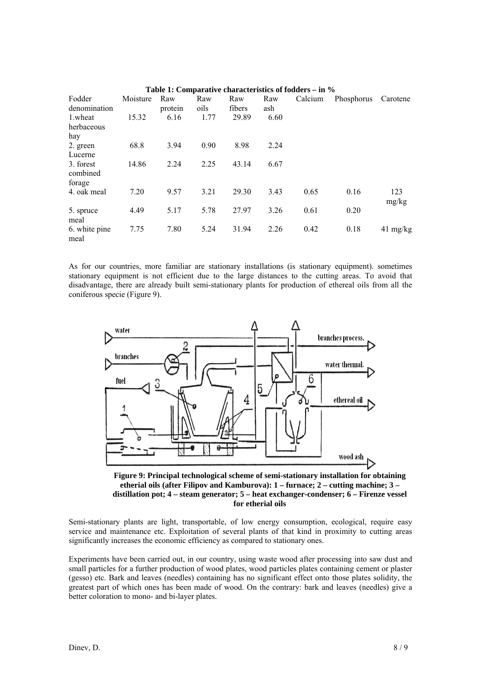| Fodder<br>denomination | Moisture | Raw<br>protein | Raw<br>oils | Raw<br>fibers | Raw<br>ash | Calcium | Phosphorus | Carotene           |
|------------------------|----------|----------------|-------------|---------------|------------|---------|------------|--------------------|
| 1.wheat                | 15.32    | 6.16           | 1.77        | 29.89         | 6.60       |         |            |                    |
| herbaceous             |          |                |             |               |            |         |            |                    |
| hay                    |          |                |             |               |            |         |            |                    |
| 2. green               | 68.8     | 3.94           | 0.90        | 8.98          | 2.24       |         |            |                    |
| Lucerne                |          |                |             |               |            |         |            |                    |
| 3. forest<br>combined  | 14.86    | 2.24           | 2.25        | 43.14         | 6.67       |         |            |                    |
| forage<br>4. oak meal  | 7.20     | 9.57           | 3.21        | 29.30         | 3.43       | 0.65    | 0.16       | 123                |
|                        |          |                |             |               |            |         |            | mg/kg              |
| 5. spruce<br>meal      | 4.49     | 5.17           | 5.78        | 27.97         | 3.26       | 0.61    | 0.20       |                    |
| 6. white pine<br>meal  | 7.75     | 7.80           | 5.24        | 31.94         | 2.26       | 0.42    | 0.18       | $41 \text{ mg/kg}$ |

| Table 1: Comparative characteristics of fodders $-$ in $\%$ |  |
|-------------------------------------------------------------|--|
|-------------------------------------------------------------|--|

As for our countries, more familiar are stationary installations (is stationary equipment). sometimes stationary equipment is not efficient due to the large distances to the cutting areas. To avoid that disadvantage, there are already built semi-stationary plants for production of ethereal oils from all the coniferous specie (Figure 9).



**Figure 9: Principal technological scheme of semi-stationary installation for obtaining etherial oils (after Filipov and Kamburova): 1 – furnace; 2 – cutting machine; 3 – distillation pot; 4 – steam generator; 5 – heat exchanger-condenser; 6 – Firenze vessel for etherial oils** 

Semi-stationary plants are light, transportable, of low energy consumption, ecological, require easy service and maintenance etc. Exploitation of several plants of that kind in proximity to cutting areas significantly increases the economic efficiency as compared to stationary ones.

Experiments have been carried out, in our country, using waste wood after processing into saw dust and small particles for a further production of wood plates, wood particles plates containing cement or plaster (gesso) etc. Bark and leaves (needles) containing has no significant effect onto those plates solidity, the greatest part of which ones has been made of wood. On the contrary: bark and leaves (needles) give a better coloration to mono- and bi-layer plates.